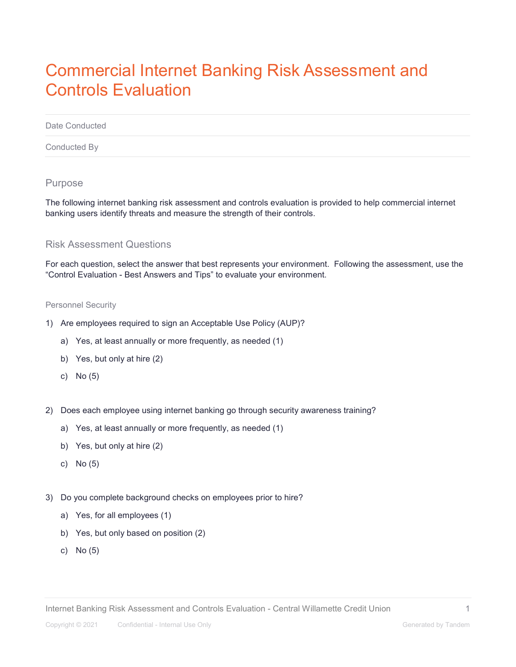# Commercial Internet Banking Risk Assessment and Controls Evaluation

Date Conducted

Conducted By

## Purpose

The following internet banking risk assessment and controls evaluation is provided to help commercial internet banking users identify threats and measure the strength of their controls.

### Risk Assessment Questions

For each question, select the answer that best represents your environment. Following the assessment, use the "Control Evaluation - Best Answers and Tips" to evaluate your environment.

#### Personnel Security

- 1) Are employees required to sign an Acceptable Use Policy (AUP)?
	- a) Yes, at least annually or more frequently, as needed (1)
	- b) Yes, but only at hire (2)
	- c) No (5)
- 2) Does each employee using internet banking go through security awareness training?
	- a) Yes, at least annually or more frequently, as needed (1)
	- b) Yes, but only at hire (2)
	- c) No (5)
- 3) Do you complete background checks on employees prior to hire?
	- a) Yes, for all employees (1)
	- b) Yes, but only based on position (2)
	- c) No (5)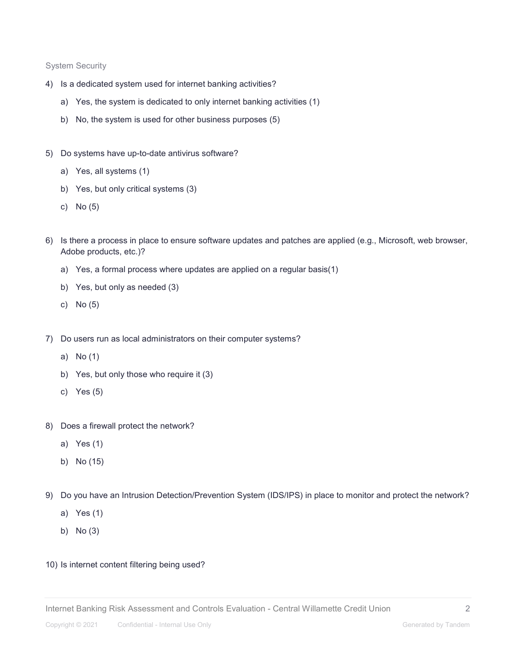System Security

- 4) Is a dedicated system used for internet banking activities?
	- a) Yes, the system is dedicated to only internet banking activities (1)
	- b) No, the system is used for other business purposes (5)
- 5) Do systems have up-to-date antivirus software?
	- a) Yes, all systems (1)
	- b) Yes, but only critical systems (3)
	- c) No (5)
- 6) Is there a process in place to ensure software updates and patches are applied (e.g., Microsoft, web browser, Adobe products, etc.)?
	- a) Yes, a formal process where updates are applied on a regular basis(1)
	- b) Yes, but only as needed (3)
	- c) No (5)
- 7) Do users run as local administrators on their computer systems?
	- a) No (1)
	- b) Yes, but only those who require it (3)
	- c) Yes (5)
- 8) Does a firewall protect the network?
	- a) Yes (1)
	- b) No (15)
- 9) Do you have an Intrusion Detection/Prevention System (IDS/IPS) in place to monitor and protect the network?
	- a) Yes (1)
	- b) No (3)
- 10) Is internet content filtering being used?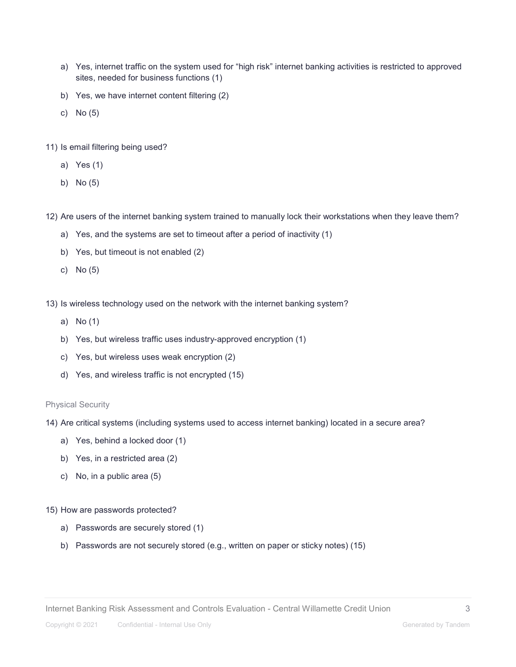- a) Yes, internet traffic on the system used for "high risk" internet banking activities is restricted to approved sites, needed for business functions (1)
- b) Yes, we have internet content filtering (2)
- c) No (5)
- 11) Is email filtering being used?
	- a) Yes (1)
	- b) No (5)
- 12) Are users of the internet banking system trained to manually lock their workstations when they leave them?
	- a) Yes, and the systems are set to timeout after a period of inactivity (1)
	- b) Yes, but timeout is not enabled (2)
	- c) No (5)
- 13) Is wireless technology used on the network with the internet banking system?
	- a) No (1)
	- b) Yes, but wireless traffic uses industry-approved encryption (1)
	- c) Yes, but wireless uses weak encryption (2)
	- d) Yes, and wireless traffic is not encrypted (15)

#### Physical Security

- 14) Are critical systems (including systems used to access internet banking) located in a secure area?
	- a) Yes, behind a locked door (1)
	- b) Yes, in a restricted area (2)
	- c) No, in a public area (5)
- 15) How are passwords protected?
	- a) Passwords are securely stored (1)
	- b) Passwords are not securely stored (e.g., written on paper or sticky notes) (15)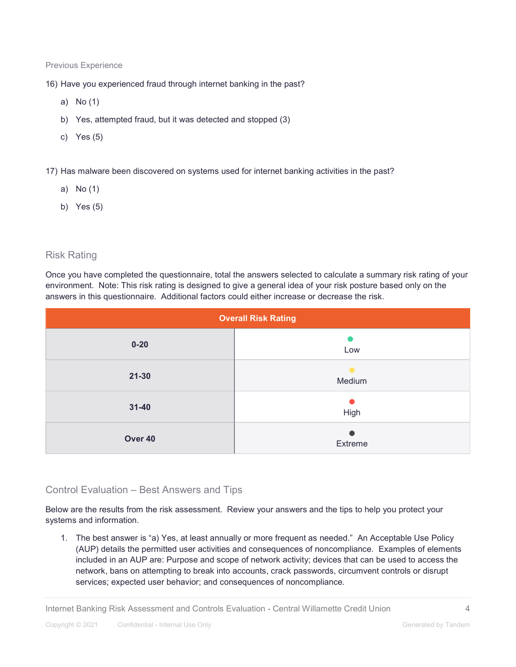#### Previous Experience

- 16) Have you experienced fraud through internet banking in the past?
	- a) No (1)
	- b) Yes, attempted fraud, but it was detected and stopped (3)
	- c) Yes (5)
- 17) Has malware been discovered on systems used for internet banking activities in the past?
	- a) No (1)
	- b) Yes (5)

## Risk Rating

Once you have completed the questionnaire, total the answers selected to calculate a summary risk rating of your environment. Note: This risk rating is designed to give a general idea of your risk posture based only on the answers in this questionnaire. Additional factors could either increase or decrease the risk.

| <b>Overall Risk Rating</b> |         |
|----------------------------|---------|
| $0 - 20$                   | Low     |
| $21 - 30$                  | Medium  |
| $31 - 40$                  | High    |
| Over 40                    | Extreme |

# Control Evaluation – Best Answers and Tips

Below are the results from the risk assessment. Review your answers and the tips to help you protect your systems and information.

1. The best answer is "a) Yes, at least annually or more frequent as needed." An Acceptable Use Policy (AUP) details the permitted user activities and consequences of noncompliance. Examples of elements included in an AUP are: Purpose and scope of network activity; devices that can be used to access the network, bans on attempting to break into accounts, crack passwords, circumvent controls or disrupt services; expected user behavior; and consequences of noncompliance.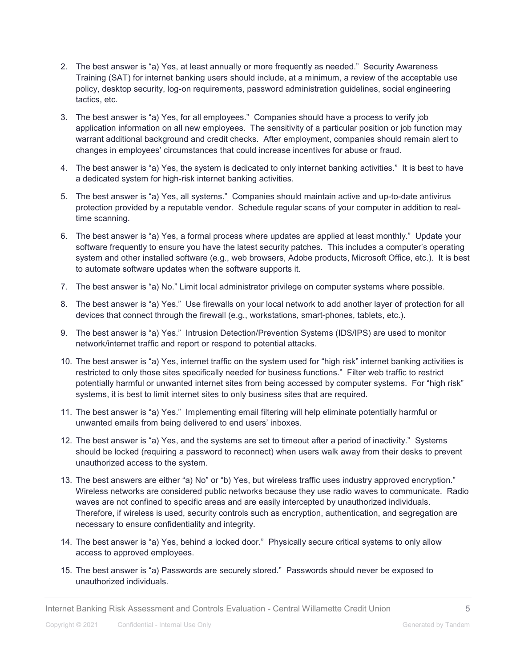- 2. The best answer is "a) Yes, at least annually or more frequently as needed." Security Awareness Training (SAT) for internet banking users should include, at a minimum, a review of the acceptable use policy, desktop security, log-on requirements, password administration guidelines, social engineering tactics, etc.
- 3. The best answer is "a) Yes, for all employees." Companies should have a process to verify job application information on all new employees. The sensitivity of a particular position or job function may warrant additional background and credit checks. After employment, companies should remain alert to changes in employees' circumstances that could increase incentives for abuse or fraud.
- 4. The best answer is "a) Yes, the system is dedicated to only internet banking activities." It is best to have a dedicated system for high-risk internet banking activities.
- 5. The best answer is "a) Yes, all systems." Companies should maintain active and up-to-date antivirus protection provided by a reputable vendor. Schedule regular scans of your computer in addition to realtime scanning.
- 6. The best answer is "a) Yes, a formal process where updates are applied at least monthly." Update your software frequently to ensure you have the latest security patches. This includes a computer's operating system and other installed software (e.g., web browsers, Adobe products, Microsoft Office, etc.). It is best to automate software updates when the software supports it.
- 7. The best answer is "a) No." Limit local administrator privilege on computer systems where possible.
- 8. The best answer is "a) Yes." Use firewalls on your local network to add another layer of protection for all devices that connect through the firewall (e.g., workstations, smart-phones, tablets, etc.).
- 9. The best answer is "a) Yes." Intrusion Detection/Prevention Systems (IDS/IPS) are used to monitor network/internet traffic and report or respond to potential attacks.
- 10. The best answer is "a) Yes, internet traffic on the system used for "high risk" internet banking activities is restricted to only those sites specifically needed for business functions." Filter web traffic to restrict potentially harmful or unwanted internet sites from being accessed by computer systems. For "high risk" systems, it is best to limit internet sites to only business sites that are required.
- 11. The best answer is "a) Yes." Implementing email filtering will help eliminate potentially harmful or unwanted emails from being delivered to end users' inboxes.
- 12. The best answer is "a) Yes, and the systems are set to timeout after a period of inactivity." Systems should be locked (requiring a password to reconnect) when users walk away from their desks to prevent unauthorized access to the system.
- 13. The best answers are either "a) No" or "b) Yes, but wireless traffic uses industry approved encryption." Wireless networks are considered public networks because they use radio waves to communicate. Radio waves are not confined to specific areas and are easily intercepted by unauthorized individuals. Therefore, if wireless is used, security controls such as encryption, authentication, and segregation are necessary to ensure confidentiality and integrity.
- 14. The best answer is "a) Yes, behind a locked door." Physically secure critical systems to only allow access to approved employees.
- 15. The best answer is "a) Passwords are securely stored." Passwords should never be exposed to unauthorized individuals.

Internet Banking Risk Assessment and Controls Evaluation - Central Willamette Credit Union 5